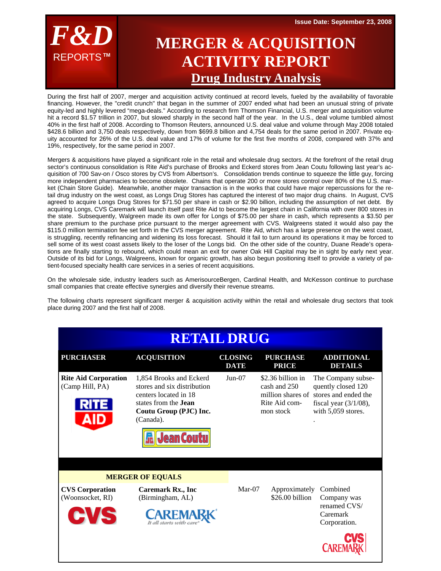**Issue Date: September 23, 2008** 



## **MERGER & ACQUISITION ACTIVITY REPORT Drug Industry Analysis**

During the first half of 2007, merger and acquisition activity continued at record levels, fueled by the availability of favorable financing. However, the "credit crunch" that began in the summer of 2007 ended what had been an unusual string of private equity-led and highly levered "mega-deals." According to research firm Thomson Financial, U.S. merger and acquisition volume hit a record \$1.57 trillion in 2007, but slowed sharply in the second half of the year. In the U.S., deal volume tumbled almost 40% in the first half of 2008. According to Thomson Reuters, announced U.S. deal value and volume through May 2008 totaled \$428.6 billion and 3,750 deals respectively, down from \$699.8 billion and 4,754 deals for the same period in 2007. Private equity accounted for 26% of the U.S. deal value and 17% of volume for the first five months of 2008, compared with 37% and 19%, respectively, for the same period in 2007.

Mergers & acquisitions have played a significant role in the retail and wholesale drug sectors. At the forefront of the retail drug sector's continuous consolidation is Rite Aid's purchase of Brooks and Eckerd stores from Jean Coutu following last year's acquisition of 700 Sav-on / Osco stores by CVS from Albertson's. Consolidation trends continue to squeeze the little guy, forcing more independent pharmacies to become obsolete. Chains that operate 200 or more stores control over 80% of the U.S. market (Chain Store Guide). Meanwhile, another major transaction is in the works that could have major repercussions for the retail drug industry on the west coast, as Longs Drug Stores has captured the interest of two major drug chains. In August, CVS agreed to acquire Longs Drug Stores for \$71.50 per share in cash or \$2.90 billion, including the assumption of net debt. By acquiring Longs, CVS Caremark will launch itself past Rite Aid to become the largest chain in California with over 800 stores in the state. Subsequently, Walgreen made its own offer for Longs of \$75.00 per share in cash, which represents a \$3.50 per share premium to the purchase price pursuant to the merger agreement with CVS. Walgreens stated it would also pay the \$115.0 million termination fee set forth in the CVS merger agreement. Rite Aid, which has a large presence on the west coast, is struggling, recently refinancing and widening its loss forecast. Should it fail to turn around its operations it may be forced to sell some of its west coast assets likely to the loser of the Longs bid. On the other side of the country, Duane Reade's operations are finally starting to rebound, which could mean an exit for owner Oak Hill Capital may be in sight by early next year. Outside of its bid for Longs, Walgreens, known for organic growth, has also begun positioning itself to provide a variety of patient-focused specialty health care services in a series of recent acquisitions.

On the wholesale side, industry leaders such as AmerisourceBergen, Cardinal Health, and McKesson continue to purchase small companies that create effective synergies and diversify their revenue streams.

The following charts represent significant merger & acquisition activity within the retail and wholesale drug sectors that took place during 2007 and the first half of 2008.

| <b>RETAIL DRUG</b>                                       |                                                                                                                                                                            |                               |                                                                 |                                                                                                                                      |  |  |
|----------------------------------------------------------|----------------------------------------------------------------------------------------------------------------------------------------------------------------------------|-------------------------------|-----------------------------------------------------------------|--------------------------------------------------------------------------------------------------------------------------------------|--|--|
| <b>PURCHASER</b>                                         | <b>ACQUISITION</b>                                                                                                                                                         | <b>CLOSING</b><br><b>DATE</b> | <b>PURCHASE</b><br><b>PRICE</b>                                 | <b>ADDITIONAL</b><br><b>DETAILS</b>                                                                                                  |  |  |
| <b>Rite Aid Corporation</b><br>(Camp Hill, PA)           | 1,854 Brooks and Eckerd<br>stores and six distribution<br>centers located in 18<br>states from the <b>Jean</b><br>Coutu Group (PJC) Inc.<br>(Canada).<br><b>Jean Coutu</b> | $Jun-07$                      | \$2.36 billion in<br>cash and 250<br>Rite Aid com-<br>mon stock | The Company subse-<br>quently closed 120<br>million shares of stores and ended the<br>fiscal year $(3/1/08)$ ,<br>with 5,059 stores. |  |  |
|                                                          | <b>MERGER OF EQUALS</b>                                                                                                                                                    |                               |                                                                 |                                                                                                                                      |  |  |
| <b>CVS</b> Corporation<br>(Woonsocket, RI)<br><b>CVS</b> | <b>Caremark Rx., Inc</b><br>(Birmingham, AL)<br>$C$ AREMA                                                                                                                  | $Mar-07$                      | Approximately<br>\$26.00 billion                                | Combined<br>Company was<br>renamed CVS/<br>Caremark<br>Corporation.                                                                  |  |  |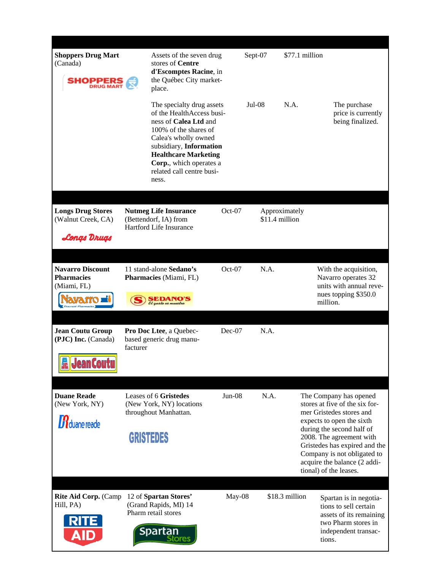| <b>Shoppers Drug Mart</b><br>(Canada)<br><b>SHOPPER</b>                                   | stores of Centre<br>place.                                                                     | Assets of the seven drug<br>d'Escomptes Racine, in<br>the Québec City market-                                                                                                                                              | Sept-07  | \$77.1 million                  |                                                                                                                                                                                                                                                                                                      |
|-------------------------------------------------------------------------------------------|------------------------------------------------------------------------------------------------|----------------------------------------------------------------------------------------------------------------------------------------------------------------------------------------------------------------------------|----------|---------------------------------|------------------------------------------------------------------------------------------------------------------------------------------------------------------------------------------------------------------------------------------------------------------------------------------------------|
|                                                                                           | Calea's wholly owned<br>ness.                                                                  | The specialty drug assets<br>of the HealthAccess busi-<br>ness of Calea Ltd and<br>100% of the shares of<br>subsidiary, Information<br><b>Healthcare Marketing</b><br>Corp., which operates a<br>related call centre busi- | $Jul-08$ | N.A.                            | The purchase<br>price is currently<br>being finalized.                                                                                                                                                                                                                                               |
| <b>Longs Drug Stores</b><br>(Walnut Creek, CA)<br>Longs Drugs                             | <b>Nutmeg Life Insurance</b><br>(Bettendorf, IA) from<br>Hartford Life Insurance               | $Oct-07$                                                                                                                                                                                                                   |          | Approximately<br>\$11.4 million |                                                                                                                                                                                                                                                                                                      |
|                                                                                           |                                                                                                |                                                                                                                                                                                                                            |          |                                 |                                                                                                                                                                                                                                                                                                      |
| <b>Navarro Discount</b><br><b>Pharmacies</b><br>(Miami, FL)<br><b>Discount Pharmacies</b> | 11 stand-alone Sedano's<br>Pharmacies (Miami, FL)<br><b>EDANO'S</b>                            | $Oct-07$                                                                                                                                                                                                                   | N.A.     |                                 | With the acquisition,<br>Navarro operates 32<br>units with annual reve-<br>nues topping \$350.0<br>million.                                                                                                                                                                                          |
|                                                                                           |                                                                                                |                                                                                                                                                                                                                            |          |                                 |                                                                                                                                                                                                                                                                                                      |
| <b>Jean Coutu Group</b><br>(PJC) Inc. (Canada)<br><b>R</b> Jean Coutu                     | Pro Doc Ltee, a Quebec-<br>based generic drug manu-<br>facturer                                | $Dec-07$                                                                                                                                                                                                                   | N.A.     |                                 |                                                                                                                                                                                                                                                                                                      |
|                                                                                           |                                                                                                |                                                                                                                                                                                                                            |          |                                 |                                                                                                                                                                                                                                                                                                      |
| <b>Duane Reade</b><br>(New York, NY)<br>$\boldsymbol{B}$ duane reade                      | Leases of 6 Gristedes<br>(New York, NY) locations<br>throughout Manhattan.<br><b>GRISTEDES</b> | Jun-08                                                                                                                                                                                                                     | N.A.     |                                 | The Company has opened<br>stores at five of the six for-<br>mer Gristedes stores and<br>expects to open the sixth<br>during the second half of<br>2008. The agreement with<br>Gristedes has expired and the<br>Company is not obligated to<br>acquire the balance (2 addi-<br>tional) of the leases. |
| <b>Rite Aid Corp.</b> (Camp<br>Hill, PA)<br><b>RITE</b><br><b>AID</b>                     | 12 of Spartan Stores'<br>(Grand Rapids, MI) 14<br>Pharm retail stores<br>Spartan               | May-08                                                                                                                                                                                                                     |          | \$18.3 million                  | Spartan is in negotia-<br>tions to sell certain<br>assets of its remaining<br>two Pharm stores in<br>independent transac-<br>tions.                                                                                                                                                                  |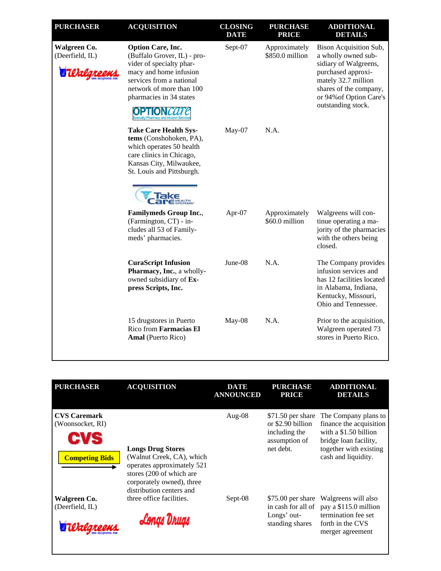| <b>PURCHASER</b>                | <b>ACQUISITION</b>                                                                                                                                                                               | <b>CLOSING</b><br><b>DATE</b> | <b>PURCHASE</b><br><b>PRICE</b>  | <b>ADDITIONAL</b><br><b>DETAILS</b>                                                                                                                                                            |
|---------------------------------|--------------------------------------------------------------------------------------------------------------------------------------------------------------------------------------------------|-------------------------------|----------------------------------|------------------------------------------------------------------------------------------------------------------------------------------------------------------------------------------------|
| Walgreen Co.<br>(Deerfield, IL) | <b>Option Care, Inc.</b><br>(Buffalo Grover, IL) - pro-<br>vider of specialty phar-<br>macy and home infusion<br>services from a national<br>network of more than 100<br>pharmacies in 34 states | Sept-07                       | Approximately<br>\$850.0 million | Bison Acquisition Sub,<br>a wholly owned sub-<br>sidiary of Walgreens,<br>purchased approxi-<br>mately 32.7 million<br>shares of the company,<br>or 94% of Option Care's<br>outstanding stock. |
|                                 | <b>Take Care Health Sys-</b><br>tems (Conshohoken, PA),<br>which operates 50 health<br>care clinics in Chicago,<br>Kansas City, Milwaukee,<br>St. Louis and Pittsburgh.                          | $May-07$                      | N.A.                             |                                                                                                                                                                                                |
|                                 | <b>Familymeds Group Inc.,</b><br>(Farmington, CT) - in-<br>cludes all 53 of Family-<br>meds' pharmacies.                                                                                         | Apr- $07$                     | Approximately<br>\$60.0 million  | Walgreens will con-<br>tinue operating a ma-<br>jority of the pharmacies<br>with the others being<br>closed.                                                                                   |
|                                 | <b>CuraScript Infusion</b><br>Pharmacy, Inc., a wholly-<br>owned subsidiary of Ex-<br>press Scripts, Inc.                                                                                        | June-08                       | N.A.                             | The Company provides<br>infusion services and<br>has 12 facilities located<br>in Alabama, Indiana,<br>Kentucky, Missouri,<br>Ohio and Tennessee.                                               |
|                                 | 15 drugstores in Puerto<br>Rico from Farmacias El<br>Amal (Puerto Rico)                                                                                                                          | May-08                        | N.A.                             | Prior to the acquisition,<br>Walgreen operated 73<br>stores in Puerto Rico.                                                                                                                    |

| <b>PURCHASER</b>                        | <b>ACQUISITION</b>                                                                                                                           | <b>DATE</b><br><b>ANNOUNCED</b> | <b>PURCHASE</b><br><b>PRICE</b>             | <b>ADDITIONAL</b><br><b>DETAILS</b>                                       |
|-----------------------------------------|----------------------------------------------------------------------------------------------------------------------------------------------|---------------------------------|---------------------------------------------|---------------------------------------------------------------------------|
| <b>CVS Caremark</b><br>(Woonsocket, RI) |                                                                                                                                              | Aug-08                          | $$71.50$ per share<br>or \$2.90 billion     | The Company plans to<br>finance the acquisition                           |
| CVS                                     | <b>Longs Drug Stores</b>                                                                                                                     |                                 | including the<br>assumption of<br>net debt. | with a $$1.50$ billion<br>bridge loan facility,<br>together with existing |
| <b>Competing Bids</b>                   | (Walnut Creek, CA), which<br>operates approximately 521<br>stores (200 of which are<br>corporately owned), three<br>distribution centers and |                                 |                                             | cash and liquidity.                                                       |
| Walgreen Co.<br>(Deerfield, IL)         | three office facilities.                                                                                                                     | Sept-08                         | \$75.00 per share<br>in cash for all of     | Walgreens will also<br>pay a \$115.0 million                              |
|                                         | Longs Drugs                                                                                                                                  |                                 | Longs' out-<br>standing shares              | termination fee set<br>forth in the CVS<br>merger agreement               |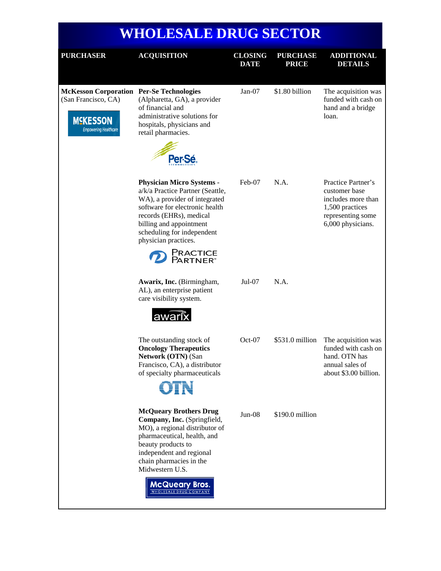## **WHOLESALE DRUG SECTOR**

| <b>PURCHASER</b>                                                                                                          | <b>ACQUISITION</b>                                                                                                                                                                                                                                                                      | <b>CLOSING</b><br><b>DATE</b> | <b>PURCHASE</b><br><b>PRICE</b> | <b>ADDITIONAL</b><br><b>DETAILS</b>                                                                                    |
|---------------------------------------------------------------------------------------------------------------------------|-----------------------------------------------------------------------------------------------------------------------------------------------------------------------------------------------------------------------------------------------------------------------------------------|-------------------------------|---------------------------------|------------------------------------------------------------------------------------------------------------------------|
| <b>McKesson Corporation Per-Se Technologies</b><br>(San Francisco, CA)<br><b>MSKESSON</b><br><b>Empowering Healthcare</b> | (Alpharetta, GA), a provider<br>of financial and<br>administrative solutions for<br>hospitals, physicians and<br>retail pharmacies.<br>Per-Sé                                                                                                                                           | Jan-07                        | \$1.80 billion                  | The acquisition was<br>funded with cash on<br>hand and a bridge<br>loan.                                               |
|                                                                                                                           | <b>Physician Micro Systems -</b><br>a/k/a Practice Partner (Seattle,<br>WA), a provider of integrated<br>software for electronic health<br>records (EHRs), medical<br>billing and appointment<br>scheduling for independent<br>physician practices.<br>Practice<br>Partner®             | Feb-07                        | N.A.                            | Practice Partner's<br>customer base<br>includes more than<br>1,500 practices<br>representing some<br>6,000 physicians. |
|                                                                                                                           | Awarix, Inc. (Birmingham,<br>AL), an enterprise patient<br>care visibility system.<br>awarix                                                                                                                                                                                            | $Jul-07$                      | N.A.                            |                                                                                                                        |
|                                                                                                                           | The outstanding stock of<br><b>Oncology Therapeutics</b><br>Network (OTN) (San<br>Francisco, CA), a distributor<br>of specialty pharmaceuticals<br>OTN                                                                                                                                  | $Oct-07$                      | $$531.0$ million                | The acquisition was<br>funded with cash on<br>hand. OTN has<br>annual sales of<br>about \$3.00 billion.                |
|                                                                                                                           | <b>McQueary Brothers Drug</b><br>Company, Inc. (Springfield,<br>MO), a regional distributor of<br>pharmaceutical, health, and<br>beauty products to<br>independent and regional<br>chain pharmacies in the<br>Midwestern U.S.<br><b>McQueary Bros.</b><br><b>WHOLESALE DRUG COMPANY</b> | $Jun-08$                      | \$190.0 million                 |                                                                                                                        |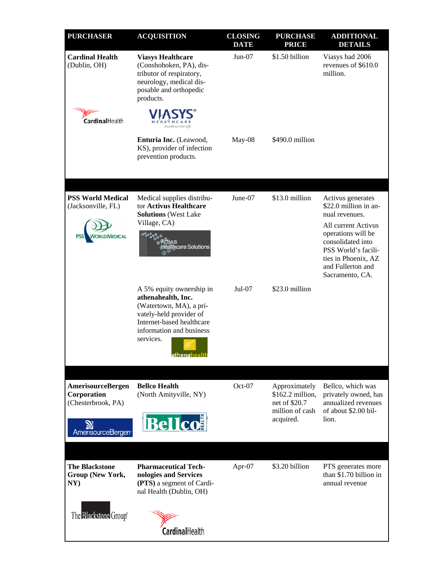| <b>PURCHASER</b>                                 | <b>ACQUISITION</b>                                                                                                                                                                                | <b>CLOSING</b><br><b>DATE</b> | <b>PURCHASE</b><br><b>PRICE</b>                                    | <b>ADDITIONAL</b><br><b>DETAILS</b>                                                                                           |
|--------------------------------------------------|---------------------------------------------------------------------------------------------------------------------------------------------------------------------------------------------------|-------------------------------|--------------------------------------------------------------------|-------------------------------------------------------------------------------------------------------------------------------|
| <b>Cardinal Health</b><br>(Dublin, OH)           | <b>Viasys Healthcare</b><br>(Conshohoken, PA), dis-<br>tributor of respiratory,<br>neurology, medical dis-<br>posable and orthopedic<br>products.                                                 | $Jun-07$                      | \$1.50 billion                                                     | Viasys had 2006<br>revenues of \$610.0<br>million.                                                                            |
| CardinalHealth                                   | <i>Excellence For Life</i>                                                                                                                                                                        |                               |                                                                    |                                                                                                                               |
|                                                  | Enturia Inc. (Leawood,<br>KS), provider of infection<br>prevention products.                                                                                                                      | May-08                        | \$490.0 million                                                    |                                                                                                                               |
|                                                  |                                                                                                                                                                                                   |                               |                                                                    |                                                                                                                               |
| <b>PSS World Medical</b><br>(Jacksonville, FL)   | Medical supplies distribu-<br>tor Activus Healthcare<br><b>Solutions</b> (West Lake<br>Village, CA)                                                                                               | June-07                       | \$13.0 million                                                     | Activus generates<br>\$22.0 million in an-<br>nual revenues.<br>All current Activus                                           |
|                                                  | ctivus<br><b>Iealthcare Solutions</b>                                                                                                                                                             |                               |                                                                    | operations will be<br>consolidated into<br>PSS World's facili-<br>ties in Phoenix, AZ<br>and Fullerton and<br>Sacramento, CA. |
|                                                  | A 5% equity ownership in<br>athenahealth, Inc.<br>(Watertown, MA), a pri-<br>vately-held provider of<br>Internet-based healthcare<br>information and business<br>services.<br><u>athenahealth</u> | $Jul-07$                      | \$23.0 million                                                     |                                                                                                                               |
| <b>AmerisourceBergen</b>                         | <b>Bellco Health</b>                                                                                                                                                                              | Oct-07                        | Approximately                                                      | Bellco, which was                                                                                                             |
| Corporation<br>(Chesterbrook, PA)                | (North Amityville, NY)                                                                                                                                                                            |                               | $$162.2$ million,<br>net of \$20.7<br>million of cash<br>acquired. | privately owned, has<br>annualized revenues<br>of about \$2.00 bil-<br>lion.                                                  |
| AmerisourceBergen <sup>®</sup>                   | <b>Bellcon</b>                                                                                                                                                                                    |                               |                                                                    |                                                                                                                               |
|                                                  |                                                                                                                                                                                                   |                               |                                                                    |                                                                                                                               |
| <b>The Blackstone</b><br>Group (New York,<br>NY) | <b>Pharmaceutical Tech-</b><br>nologies and Services<br>(PTS) a segment of Cardi-<br>nal Health (Dublin, OH)                                                                                      | Apr-07                        | \$3.20 billion                                                     | PTS generates more<br>than \$1.70 billion in<br>annual revenue                                                                |
| The Blackstone Group®                            |                                                                                                                                                                                                   |                               |                                                                    |                                                                                                                               |
|                                                  | CardinalHealth                                                                                                                                                                                    |                               |                                                                    |                                                                                                                               |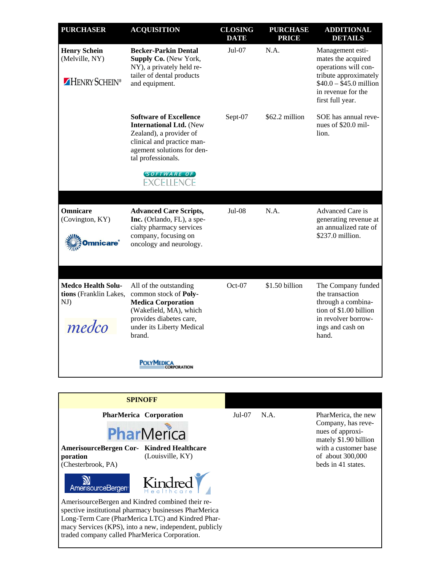| <b>PURCHASER</b>                                                    | <b>ACQUISITION</b>                                                                                                                                                                                               | <b>CLOSING</b><br><b>DATE</b> | <b>PURCHASE</b><br><b>PRICE</b> | <b>ADDITIONAL</b><br><b>DETAILS</b>                                                                                                                          |
|---------------------------------------------------------------------|------------------------------------------------------------------------------------------------------------------------------------------------------------------------------------------------------------------|-------------------------------|---------------------------------|--------------------------------------------------------------------------------------------------------------------------------------------------------------|
| <b>Henry Schein</b><br>(Melville, NY)<br>HENRY SCHEIN®              | <b>Becker-Parkin Dental</b><br>Supply Co. (New York,<br>NY), a privately held re-<br>tailer of dental products<br>and equipment.                                                                                 | $Jul-07$                      | N.A.                            | Management esti-<br>mates the acquired<br>operations will con-<br>tribute approximately<br>$$40.0 - $45.0$ million<br>in revenue for the<br>first full year. |
|                                                                     | <b>Software of Excellence</b><br><b>International Ltd.</b> (New<br>Zealand), a provider of<br>clinical and practice man-<br>agement solutions for den-<br>tal professionals.<br>SOFTWARE OF<br><b>EXCELLENCE</b> | Sept-07                       | \$62.2 million                  | SOE has annual reve-<br>nues of \$20.0 mil-<br>lion.                                                                                                         |
|                                                                     |                                                                                                                                                                                                                  |                               |                                 |                                                                                                                                                              |
| Omnicare<br>(Covington, KY)<br><b>Omnicare</b> ®                    | <b>Advanced Care Scripts,</b><br>Inc. (Orlando, FL), a spe-<br>cialty pharmacy services<br>company, focusing on<br>oncology and neurology.                                                                       | Jul-08                        | N.A.                            | Advanced Care is<br>generating revenue at<br>an annualized rate of<br>\$237.0 million.                                                                       |
| <b>Medco Health Solu-</b><br>tions (Franklin Lakes,<br>NJ)<br>medco | All of the outstanding<br>common stock of Poly-<br><b>Medica Corporation</b><br>(Wakefield, MA), which<br>provides diabetes care,<br>under its Liberty Medical<br>brand.                                         | $Oct-07$                      | \$1.50 billion                  | The Company funded<br>the transaction<br>through a combina-<br>tion of \$1.00 billion<br>in revolver borrow-<br>ings and cash on<br>hand.                    |
|                                                                     | <b>POLYMEDICA</b>                                                                                                                                                                                                |                               |                                 |                                                                                                                                                              |
|                                                                     |                                                                                                                                                                                                                  |                               |                                 |                                                                                                                                                              |
|                                                                     | CDIMARE                                                                                                                                                                                                          |                               |                                 |                                                                                                                                                              |



PharMerica, the new Company, has revenues of approximately \$1.90 billion with a customer base of about 300,000 beds in 41 states.